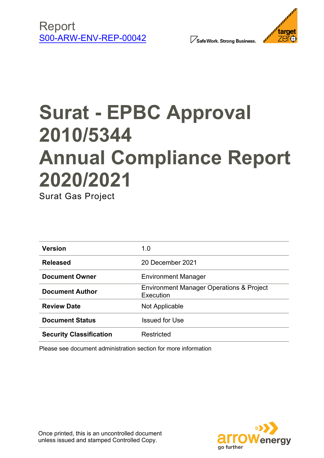





# **Surat - EPBC Approval 2010/5344 Annual Compliance Report 2020/2021**

Surat Gas Project

| <b>Version</b>                 | 1.0                                                              |
|--------------------------------|------------------------------------------------------------------|
| <b>Released</b>                | 20 December 2021                                                 |
| <b>Document Owner</b>          | <b>Environment Manager</b>                                       |
| <b>Document Author</b>         | <b>Environment Manager Operations &amp; Project</b><br>Execution |
| <b>Review Date</b>             | Not Applicable                                                   |
| <b>Document Status</b>         | <b>Issued for Use</b>                                            |
| <b>Security Classification</b> | Restricted                                                       |

Please see document administration section for more information

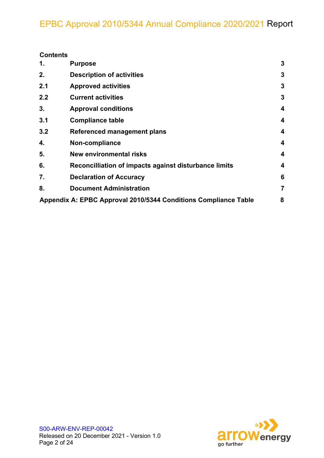| <b>Contents</b> |
|-----------------|
|-----------------|

| 1.  | <b>Purpose</b>                                                  | 3              |
|-----|-----------------------------------------------------------------|----------------|
| 2.  | <b>Description of activities</b>                                | 3              |
| 2.1 | <b>Approved activities</b>                                      | 3              |
| 2.2 | <b>Current activities</b>                                       | 3              |
| 3.  | <b>Approval conditions</b>                                      | 4              |
| 3.1 | <b>Compliance table</b>                                         | 4              |
| 3.2 | Referenced management plans                                     | 4              |
| 4.  | Non-compliance                                                  | 4              |
| 5.  | New environmental risks                                         | 4              |
| 6.  | Reconcilliation of impacts against disturbance limits           | 4              |
| 7.  | <b>Declaration of Accuracy</b>                                  | 6              |
| 8.  | <b>Document Administration</b>                                  | $\overline{7}$ |
|     | Appendix A: EPBC Approval 2010/5344 Conditions Compliance Table | 8              |

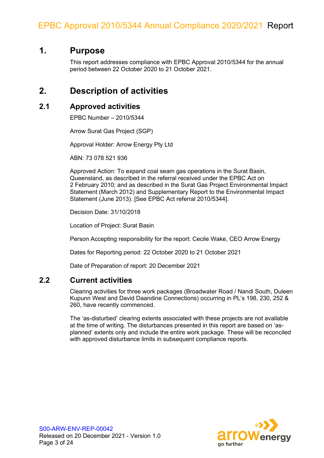### **1. Purpose**

This report addresses compliance with EPBC Approval 2010/5344 for the annual period between 22 October 2020 to 21 October 2021.

### **2. Description of activities**

#### **2.1 Approved activities**

EPBC Number – 2010/5344

Arrow Surat Gas Project (SGP)

Approval Holder: Arrow Energy Pty Ltd

ABN: 73 078 521 936

Approved Action: To expand coal seam gas operations in the Surat Basin, Queensland, as described in the referral received under the EPBC Act on 2 February 2010; and as described in the Surat Gas Project Environmental Impact Statement (March 2012) and Supplementary Report to the Environmental Impact Statement (June 2013). [See EPBC Act referral 2010/5344].

Decision Date: 31/10/2018

Location of Project: Surat Basin

Person Accepting responsibility for the report: Cecile Wake, CEO Arrow Energy

Dates for Reporting period: 22 October 2020 to 21 October 2021

Date of Preparation of report: 20 December 2021

#### **2.2 Current activities**

Clearing activities for three work packages (Broadwater Road / Nandi South, Duleen Kupunn West and David Daandine Connections) occurring in PL's 198, 230, 252 & 260, have recently commenced.

The 'as-disturbed' clearing extents associated with these projects are not available at the time of writing. The disturbances presented in this report are based on 'asplanned' extents only and include the entire work package. These will be reconciled with approved disturbance limits in subsequent compliance reports.

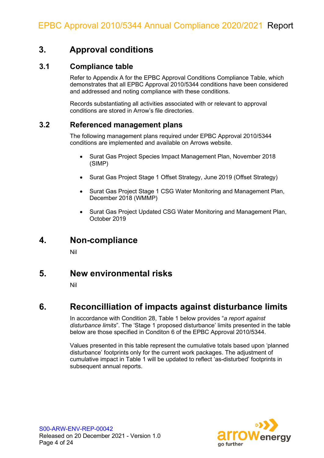### **3. Approval conditions**

#### **3.1 Compliance table**

Refer to Appendix A for the EPBC Approval Conditions Compliance Table, which demonstrates that all EPBC Approval 2010/5344 conditions have been considered and addressed and noting compliance with these conditions.

Records substantiating all activities associated with or relevant to approval conditions are stored in Arrow's file directories.

### **3.2 Referenced management plans**

The following management plans required under EPBC Approval 2010/5344 conditions are implemented and available on Arrows website.

- Surat Gas Project Species Impact Management Plan, November 2018 (SIMP)
- Surat Gas Project Stage 1 Offset Strategy, June 2019 (Offset Strategy)
- Surat Gas Project Stage 1 CSG Water Monitoring and Management Plan, December 2018 (WMMP)
- Surat Gas Project Updated CSG Water Monitoring and Management Plan, October 2019

### **4. Non-compliance**

Nil

### **5. New environmental risks**

Nil

### **6. Reconcilliation of impacts against disturbance limits**

In accordance with Condition 28, Table 1 below provides "*a report against disturbance limits*". The 'Stage 1 proposed disturbance' limits presented in the table below are those specified in Conditon 6 of the EPBC Approval 2010/5344.

Values presented in this table represent the cumulative totals based upon 'planned disturbance' footprints only for the current work packages. The adjustment of cumulative impact in Table 1 will be updated to reflect 'as-disturbed' footprints in subsequent annual reports.

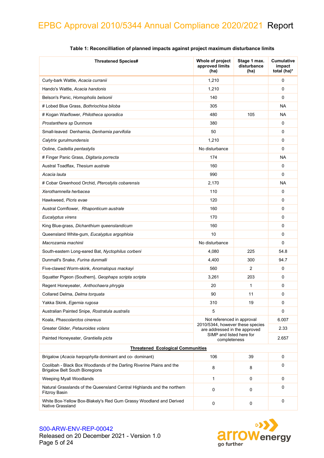| <b>Threatened Species#</b>                                                                                     | Whole of project<br>approved limits<br>(ha)                       | Stage 1 max.<br>disturbance<br>(ha) | <b>Cumulative</b><br>impact<br>total (ha)* |
|----------------------------------------------------------------------------------------------------------------|-------------------------------------------------------------------|-------------------------------------|--------------------------------------------|
| Curly-bark Wattle, Acacia curranii                                                                             | 1,210                                                             |                                     | 0                                          |
| Hando's Wattle, Acacia handonis                                                                                | 1,210                                                             |                                     | 0                                          |
| Belson's Panic, Homopholis belsonii                                                                            | 140                                                               |                                     | 0                                          |
| # Lobed Blue Grass, Bothriochloa biloba                                                                        | 305                                                               |                                     | <b>NA</b>                                  |
| # Kogan Waxflower, Philotheca sporadica                                                                        | 480                                                               | 105                                 | NA                                         |
| Prostanthera sp Dunmore                                                                                        | 380                                                               |                                     | 0                                          |
| Small-leaved Denhamia, Denhamia parvifolia                                                                     | 50                                                                |                                     | 0                                          |
| Calytrix gurulmundensis                                                                                        | 1,210                                                             |                                     | 0                                          |
| Ooline, Cadellia pentastylis                                                                                   | No disturbance                                                    |                                     | 0                                          |
| # Finger Panic Grass, Digitaria porrecta                                                                       | 174                                                               |                                     | <b>NA</b>                                  |
| Austral Toadflax, Thesium australe                                                                             | 160                                                               |                                     | 0                                          |
| Acacia Iauta                                                                                                   | 990                                                               |                                     | 0                                          |
| # Cobar Greenhood Orchid, Pterostylis cobarensis                                                               | 2,170                                                             |                                     | NA.                                        |
| Xerothamnella herbacea                                                                                         | 110                                                               |                                     | 0                                          |
| Hawkweed, Picris evae                                                                                          | 120                                                               |                                     | 0                                          |
| Austral Cornflower, Rhaponticum australe                                                                       | 160                                                               |                                     | 0                                          |
| Eucalyptus virens                                                                                              | 170                                                               |                                     | 0                                          |
| King Blue-grass, Dichanthium queenslandicum                                                                    | 160                                                               |                                     | 0                                          |
| Queensland White-gum, Eucalyptus argophloia                                                                    | 10                                                                |                                     | 0                                          |
| Macrozamia machinii                                                                                            | No disturbance                                                    |                                     | 0                                          |
| South-eastern Long-eared Bat, Nyctophilus corbeni                                                              | 4,080                                                             | 225                                 | 54.8                                       |
| Dunmall's Snake, Furina dunmalli                                                                               | 4,400                                                             | 300                                 | 94.7                                       |
| Five-clawed Worm-skink, Anomalopus mackayi                                                                     | 560                                                               | $\overline{2}$                      | 0                                          |
| Squatter Pigeon (Southern), Geophaps scripta scripta                                                           | 3,261                                                             | 203                                 | 0                                          |
| Regent Honeyeater, Anthochaera phrygia                                                                         | 20                                                                | 1                                   | 0                                          |
| Collared Delma, Delma torquata                                                                                 | 90                                                                | 11                                  | 0                                          |
| Yakka Skink, Egernia rugosa                                                                                    | 310                                                               | 19                                  | 0                                          |
| Australian Painted Snipe, Rostratula australis                                                                 | 5                                                                 |                                     | $\mathbf 0$                                |
| Koala, Phascolarctos cinereus                                                                                  | Not referenced in approval                                        |                                     | 6.007                                      |
| Greater Glider, Petauroides volans                                                                             | 2010/5344, however these species<br>are addressed in the approved |                                     | 2.33                                       |
| Painted Honeyeater, Grantiella picta                                                                           | SIMP and listed here for<br>completeness                          |                                     | 2.657                                      |
| <b>Threatened Ecological Communities</b>                                                                       |                                                                   |                                     |                                            |
| Brigalow (Acacia harpophylla dominant and co- dominant)                                                        | 106                                                               | 39                                  | 0                                          |
| Coolibah - Black Box Woodlands of the Darling Riverine Plains and the<br><b>Brigalow Belt South Bioregions</b> | 8                                                                 | 8                                   | 0                                          |
| Weeping Myall Woodlands                                                                                        | $\mathbf{1}$                                                      | $\mathbf 0$                         | $\mathbf 0$                                |
| Natural Grasslands of the Queensland Central Highlands and the northern<br><b>Fitzroy Basin</b>                | 0                                                                 | 0                                   | 0                                          |
| White Box-Yellow Box-Blakely's Red Gum Grassy Woodland and Derived<br>Native Grassland                         | 0                                                                 | 0                                   | $\mathbf 0$                                |

#### **Table 1: Reconcilliation of planned impacts against project maximum disturbance limits**



#### S00-ARW-ENV-REP-00042 Released on 20 December 2021 - Version 1.0 Page 5 of 24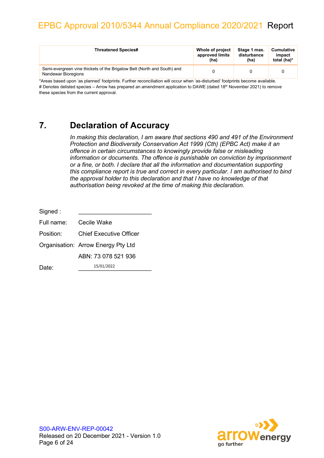| <b>Threatened Species#</b>                                                                     | Whole of project | Stage 1 max. | Cumulative  |
|------------------------------------------------------------------------------------------------|------------------|--------------|-------------|
|                                                                                                | approved limits  | disturbance  | impact      |
|                                                                                                | (ha)             | (ha)         | total (ha)* |
| Semi-evergreen vine thickets of the Brigalow Belt (North and South) and<br>Nandewar Bioregions |                  |              |             |

\*Areas based upon 'as planned' footprints. Further reconciliation will occur when 'as-disturbed' footprints become available. # Denotes delisted species – Arrow has prepared an amendment application to DAWE (dated 18<sup>th</sup> November 2021) to remove these species from the current approval.

### **7. Declaration of Accuracy**

*In making this declaration, I am aware that sections 490 and 491 of the Environment Protection and Biodiversity Conservation Act 1999 (Cth) (EPBC Act) make it an offence in certain circumstances to knowingly provide false or misleading information or documents. The offence is punishable on conviction by imprisonment or a fine, or both. I declare that all the information and documentation supporting this compliance report is true and correct in every particular. I am authorised to bind the approval holder to this declaration and that I have no knowledge of that authorisation being revoked at the time of making this declaration.*

| Signed:    |                                    |  |  |
|------------|------------------------------------|--|--|
| Full name: | Cecile Wake                        |  |  |
| Position:  | <b>Chief Executive Officer</b>     |  |  |
|            | Organisation: Arrow Energy Pty Ltd |  |  |
|            | ABN: 73 078 521 936                |  |  |
| Date:      | 15/01/2022                         |  |  |

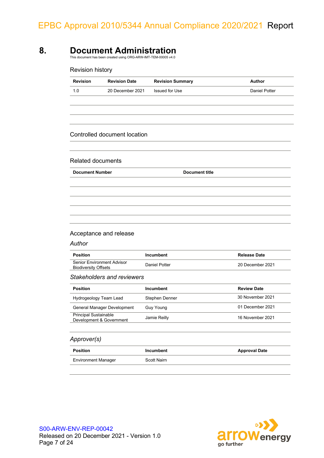### **8. Document Administration**

This document has been created using ORG-ARW-IMT-TEM-00005 v4.0

| <b>Revision Summary</b>           | Author                                                  |
|-----------------------------------|---------------------------------------------------------|
| <b>Issued for Use</b>             | <b>Daniel Potter</b>                                    |
|                                   |                                                         |
|                                   |                                                         |
| <b>Document title</b>             |                                                         |
|                                   |                                                         |
|                                   |                                                         |
|                                   |                                                         |
|                                   |                                                         |
|                                   |                                                         |
|                                   |                                                         |
|                                   |                                                         |
|                                   |                                                         |
|                                   |                                                         |
|                                   |                                                         |
| Incumbent                         | <b>Release Date</b>                                     |
| <b>Daniel Potter</b>              | 20 December 2021                                        |
| <b>Stakeholders and reviewers</b> |                                                         |
| <b>Incumbent</b>                  | <b>Review Date</b>                                      |
| Stephen Denner                    | 30 November 2021                                        |
| <b>Guy Young</b>                  | 01 December 2021                                        |
| Jamie Reilly                      | 16 November 2021                                        |
|                                   |                                                         |
|                                   | 20 December 2021<br><b>Controlled document location</b> |



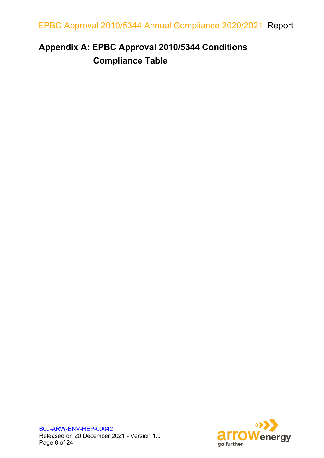## **Appendix A: EPBC Approval 2010/5344 Conditions Compliance Table**

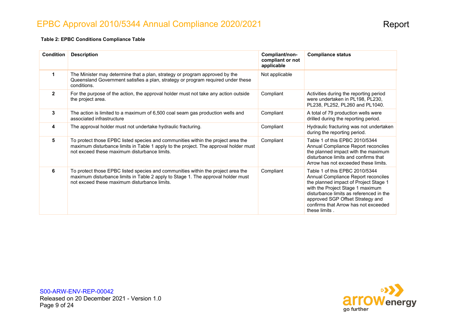### EPBC Approval 2010/5344 Annual Compliance 2020/2021

#### **Table 2: EPBC Conditions Compliance Table**

| <b>Condition</b> | <b>Description</b>                                                                                                                                                                                                       | Compliant/non-<br>compliant or not<br>applicable | <b>Compliance status</b>                                                                                                                                                                                                                                                                   |
|------------------|--------------------------------------------------------------------------------------------------------------------------------------------------------------------------------------------------------------------------|--------------------------------------------------|--------------------------------------------------------------------------------------------------------------------------------------------------------------------------------------------------------------------------------------------------------------------------------------------|
| $\mathbf 1$      | The Minister may determine that a plan, strategy or program approved by the<br>Queensland Government satisfies a plan, strategy or program required under these<br>conditions.                                           | Not applicable                                   |                                                                                                                                                                                                                                                                                            |
| $\mathbf{2}$     | For the purpose of the action, the approval holder must not take any action outside<br>the project area.                                                                                                                 | Compliant                                        | Activities during the reporting period<br>were undertaken in PL198, PL230,<br>PL238, PL252, PL260 and PL1040.                                                                                                                                                                              |
| 3                | The action is limited to a maximum of 6,500 coal seam gas production wells and<br>associated infrastructure                                                                                                              | Compliant                                        | A total of 79 production wells were<br>drilled during the reporting period.                                                                                                                                                                                                                |
| 4                | The approval holder must not undertake hydraulic fracturing.                                                                                                                                                             | Compliant                                        | Hydraulic fracturing was not undertaken<br>during the reporting period.                                                                                                                                                                                                                    |
| 5                | To protect those EPBC listed species and communities within the project area the<br>maximum disturbance limits in Table 1 apply to the project. The approval holder must<br>not exceed these maximum disturbance limits. | Compliant                                        | Table 1 of this EPBC 2010/5344<br>Annual Compliance Report reconciles<br>the planned impact with the maximum<br>disturbance limits and confirms that<br>Arrow has not exceeded these limits.                                                                                               |
| 6                | To protect those EPBC listed species and communities within the project area the<br>maximum disturbance limits in Table 2 apply to Stage 1. The approval holder must<br>not exceed these maximum disturbance limits.     | Compliant                                        | Table 1 of this EPBC 2010/5344<br>Annual Compliance Report reconciles<br>the planned impact of Project Stage 1<br>with the Project Stage 1 maximum<br>disturbance limits as referenced in the<br>approved SGP Offset Strategy and<br>confirms that Arrow has not exceeded<br>these limits. |

S00-ARW-ENV-REP-00042 Released on 20 December 2021 - Version 1.0 Page 9 of 24

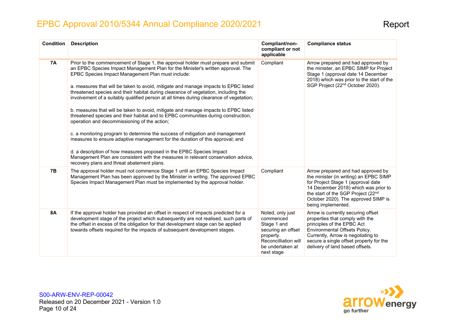| <b>Condition</b> | <b>Description</b>                                                                                                                                                                                                                                                                                                                                                                                                                                                                                                                                                                                                                                                                                                                                                                                                                                                                                                                                                                                                                                                                                         | Compliant/non-<br>compliant or not<br>applicable                                                                                          | <b>Compliance status</b>                                                                                                                                                                                                                                      |
|------------------|------------------------------------------------------------------------------------------------------------------------------------------------------------------------------------------------------------------------------------------------------------------------------------------------------------------------------------------------------------------------------------------------------------------------------------------------------------------------------------------------------------------------------------------------------------------------------------------------------------------------------------------------------------------------------------------------------------------------------------------------------------------------------------------------------------------------------------------------------------------------------------------------------------------------------------------------------------------------------------------------------------------------------------------------------------------------------------------------------------|-------------------------------------------------------------------------------------------------------------------------------------------|---------------------------------------------------------------------------------------------------------------------------------------------------------------------------------------------------------------------------------------------------------------|
| <b>7A</b>        | Prior to the commencement of Stage 1, the approval holder must prepare and submit<br>an EPBC Species Impact Management Plan for the Minister's written approval. The<br>EPBC Species Impact Management Plan must include:<br>a. measures that will be taken to avoid, mitigate and manage impacts to EPBC listed<br>threatened species and their habitat during clearance of vegetation, including the<br>involvement of a suitably qualified person at all times during clearance of vegetation;<br>b. measures that will be taken to avoid, mitigate and manage impacts to EPBC listed<br>threatened species and their habitat and to EPBC communities during construction,<br>operation and decommissioning of the action;<br>c. a monitoring program to determine the success of mitigation and management<br>measures to ensure adaptive management for the duration of this approval; and<br>d. a description of how measures proposed in the EPBC Species Impact<br>Management Plan are consistent with the measures in relevant conservation advice,<br>recovery plans and threat abatement plans. | Compliant                                                                                                                                 | Arrow prepared and had approved by<br>the minister, an EPBC SIMP for Project<br>Stage 1 (approval date 14 December<br>2018) which was prior to the start of the<br>SGP Project (22 <sup>nd</sup> October 2020).                                               |
| <b>7B</b>        | The approval holder must not commence Stage 1 until an EPBC Species Impact<br>Management Plan has been approved by the Minister in writing. The approved EPBC<br>Species Impact Management Plan must be implemented by the approval holder.                                                                                                                                                                                                                                                                                                                                                                                                                                                                                                                                                                                                                                                                                                                                                                                                                                                                | Compliant                                                                                                                                 | Arrow prepared and had approved by<br>the minister (in writing) an EPBC SIMP<br>for Project Stage 1 (approval date<br>14 December 2018) which was prior to<br>the start of the SGP Project (22nd<br>October 2020). The approved SIMP is<br>being implemented. |
| <b>8A</b>        | If the approval holder has provided an offset in respect of impacts predicted for a<br>development stage of the project which subsequently are not realised, such parts of<br>the offset in excess of the obligation for that development stage can be applied<br>towards offsets required for the impacts of subsequent development stages.                                                                                                                                                                                                                                                                                                                                                                                                                                                                                                                                                                                                                                                                                                                                                               | Noted, only just<br>commenced<br>Stage 1 and<br>securing an offset<br>property.<br>Reconcilliation will<br>be undertaken at<br>next stage | Arrow is currently securing offset<br>properties that comply with the<br>principles of the EPBC Act<br>Environmental Offsets Policy.<br>Currently, Arrow is negotiating to<br>secure a single offset property for the<br>delivery of land based offsets.      |

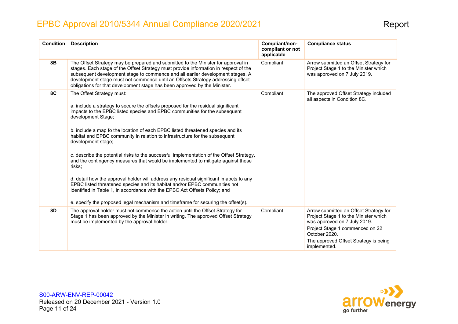| <b>Condition</b> | <b>Description</b>                                                                                                                                                                                                                                                                                                                                                                                                          | Compliant/non-<br>compliant or not<br>applicable | <b>Compliance status</b>                                                                                                                                                                                                     |
|------------------|-----------------------------------------------------------------------------------------------------------------------------------------------------------------------------------------------------------------------------------------------------------------------------------------------------------------------------------------------------------------------------------------------------------------------------|--------------------------------------------------|------------------------------------------------------------------------------------------------------------------------------------------------------------------------------------------------------------------------------|
| 8B               | The Offset Strategy may be prepared and submitted to the Minister for approval in<br>stages. Each stage of the Offset Strategy must provide information in respect of the<br>subsequent development stage to commence and all earlier development stages. A<br>development stage must not commence until an Offsets Strategy addressing offset<br>obligations for that development stage has been approved by the Minister. | Compliant                                        | Arrow submitted an Offset Strategy for<br>Project Stage 1 to the Minister which<br>was approved on 7 July 2019.                                                                                                              |
| 8C               | The Offset Strategy must:<br>a. include a strategy to secure the offsets proposed for the residual significant<br>impacts to the EPBC listed species and EPBC communities for the subsequent<br>development Stage;                                                                                                                                                                                                          | Compliant                                        | The approved Offset Strategy included<br>all aspects in Condition 8C.                                                                                                                                                        |
|                  | b. include a map fo the location of each EPBC listed threatened species and its<br>habitat and EPBC community in relation to infrastructure for the subsequent<br>development stage;                                                                                                                                                                                                                                        |                                                  |                                                                                                                                                                                                                              |
|                  | c. describe the potential risks to the successful implementation of the Offset Strategy,<br>and the contingency measures that would be implemented to mitigate against these<br>risks;                                                                                                                                                                                                                                      |                                                  |                                                                                                                                                                                                                              |
|                  | d. detail how the approval holder will address any residual significant imapcts to any<br>EPBC listed threatened species and its habitat and/or EPBC communities not<br>identified in Table 1, in accordance with the EPBC Act Offsets Policy; and<br>e. specify the proposed legal mechanism and timeframe for securing the offset(s).                                                                                     |                                                  |                                                                                                                                                                                                                              |
| <b>8D</b>        | The approval holder must not commence the action until the Offset Strategy for<br>Stage 1 has been approved by the Minister in writing. The approved Offset Strategy<br>must be implemented by the approval holder.                                                                                                                                                                                                         | Compliant                                        | Arrow submitted an Offset Strategy for<br>Project Stage 1 to the Minister which<br>was approved on 7 July 2019.<br>Project Stage 1 commenced on 22<br>October 2020.<br>The approved Offset Strategy is being<br>implemented. |

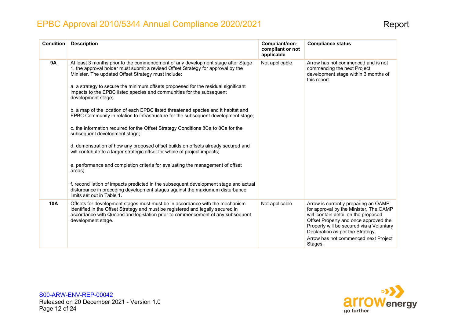| <b>Condition</b> | <b>Description</b>                                                                                                                                                                                                                                                                                                                                                                                                                                                                                                                                                                                                                                                                                                                                                                                                                                                                                                                                                                                                                                                                                                                                                                       | Compliant/non-<br>compliant or not<br>applicable | <b>Compliance status</b>                                                                                                                                                                                                                                                                          |
|------------------|------------------------------------------------------------------------------------------------------------------------------------------------------------------------------------------------------------------------------------------------------------------------------------------------------------------------------------------------------------------------------------------------------------------------------------------------------------------------------------------------------------------------------------------------------------------------------------------------------------------------------------------------------------------------------------------------------------------------------------------------------------------------------------------------------------------------------------------------------------------------------------------------------------------------------------------------------------------------------------------------------------------------------------------------------------------------------------------------------------------------------------------------------------------------------------------|--------------------------------------------------|---------------------------------------------------------------------------------------------------------------------------------------------------------------------------------------------------------------------------------------------------------------------------------------------------|
| <b>9A</b>        | At least 3 months prior to the commencement of any development stage after Stage<br>1, the approval holder must submit a revised Offset Strategy for approval by the<br>Minister. The updated Offset Strategy must include:<br>a. a strategy to secure the minimum offsets propoesed for the residual significant<br>impacts to the EPBC listed species and communities for the subsequent<br>development stage;<br>b. a map of the location of each EPBC listed threatened species and it habitat and<br>EPBC Community in relation to infrastructure for the subsequent development stage;<br>c. the information required for the Offset Strategy Conditions 8Ca to 8Ce for the<br>subsequent development stage;<br>d. demonstration of how any proposed offset builds on offsets already secured and<br>will contribute to a larger strategic offset for whole of project impacts;<br>e. performance and completion criteria for evaluating the management of offset<br>areas;<br>f. reconciliation of impacts predicted in the subsequent development stage and actual<br>disturbance in preceding development stages against the maxiumum disturbance<br>limits set out in Table 1. | Not applicable                                   | Arrow has not commenced and is not<br>commencing the next Project<br>development stage within 3 months of<br>this report.                                                                                                                                                                         |
| <b>10A</b>       | Offsets for development stages must must be in accordance with the mechanism<br>identified in the Offset Strategy and must be registered and legally secured in<br>accordance with Queensland legislation prior to commencement of any subsequent<br>development stage.                                                                                                                                                                                                                                                                                                                                                                                                                                                                                                                                                                                                                                                                                                                                                                                                                                                                                                                  | Not applicable                                   | Arrow is currently preparing an OAMP<br>for approval by the Minister. The OAMP<br>will contain detail on the proposed<br>Offset Property and once approved the<br>Property will be secured via a Voluntary<br>Declaration as per the Strategy.<br>Arrow has not commenced next Project<br>Stages. |

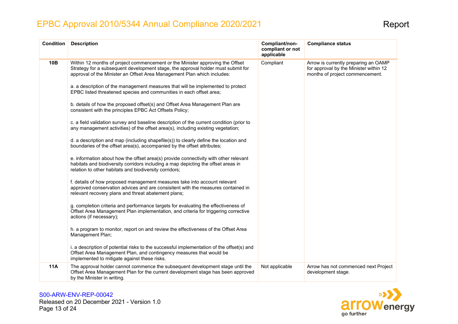| <b>Condition</b> | <b>Description</b>                                                                                                                                                                                                                           | Compliant/non-<br>compliant or not<br>applicable | <b>Compliance status</b>                                                                                          |
|------------------|----------------------------------------------------------------------------------------------------------------------------------------------------------------------------------------------------------------------------------------------|--------------------------------------------------|-------------------------------------------------------------------------------------------------------------------|
| 10B              | Within 12 months of project commencement or the Minister approving the Offset<br>Strategy for a subsequent development stage, the approval holder must submit for<br>approval of the Minister an Offset Area Management Plan which includes: | Compliant                                        | Arrow is currently preparing an OAMP<br>for approval by the Minister within 12<br>months of project commencement. |
|                  | a. a description of the management measures that will be implemented to protect<br>EPBC listed threatened species and communities in each offset area;                                                                                       |                                                  |                                                                                                                   |
|                  | b. details of how the proposed offset(s) and Offset Area Management Plan are<br>consistent with the principles EPBC Act Offsets Policy;                                                                                                      |                                                  |                                                                                                                   |
|                  | c. a field validation survey and baseline description of the current condition (prior to<br>any management activities) of the offset area(s), including existing vegetation;                                                                 |                                                  |                                                                                                                   |
|                  | d. a description and map (including shapefile(s)) to clearly define the location and<br>boundaries of the offset area(s), accompanied by the offset attributes;                                                                              |                                                  |                                                                                                                   |
|                  | e. information about how the offset area(s) provide connectivity with other relevant<br>habitats and biodiversity corridors including a map depicting the offset areas in<br>relation to other habitats and biodiversity corridors;          |                                                  |                                                                                                                   |
|                  | f. details of how proposed management measures take into account relevant<br>approved conservation advices and are consisitent with the measures contained in<br>relevant recovery plans and threat abatement plans;                         |                                                  |                                                                                                                   |
|                  | g. completion criteria and performance targets for evaluating the effectiveness of<br>Offset Area Management Plan implementation, and criteria for triggering corrective<br>actions (if necessary);                                          |                                                  |                                                                                                                   |
|                  | h. a program to monitor, report on and review the effectiveness of the Offset Area<br>Management Plan;                                                                                                                                       |                                                  |                                                                                                                   |
|                  | i. a description of potential risks to the successful implementation of the offset(s) and<br>Offset Area Management Plan, and contingency measures that would be<br>implemented to mitigate against these risks.                             |                                                  |                                                                                                                   |
| <b>11A</b>       | The approval holder cannot commence the subsequent development stage until the<br>Offset Area Management Plan for the current development stage has been approved<br>by the Minister in writing.                                             | Not applicable                                   | Arrow has not commenced next Project<br>development stage.                                                        |

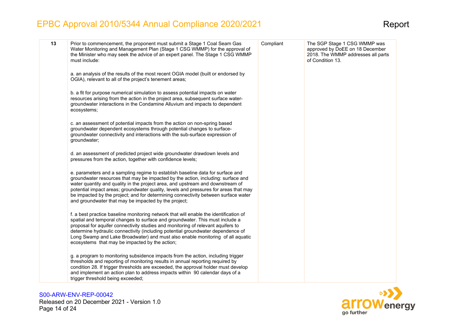| 13 | Prior to commencement, the proponent must submit a Stage 1 Coal Seam Gas<br>Water Monitoring and Management Plan (Stage 1 CSG WMMP) for the approval of<br>the Minister who may seek the advice of an expert panel. The Stage 1 CSG WMMP<br>must include:                                                                                                                                                                                                                                  | Compliant | The SGP Stage 1 CSG WMMP was<br>approved by DoEE on 18 December<br>2018. The WMMP addresses all parts<br>of Condition 13. |
|----|--------------------------------------------------------------------------------------------------------------------------------------------------------------------------------------------------------------------------------------------------------------------------------------------------------------------------------------------------------------------------------------------------------------------------------------------------------------------------------------------|-----------|---------------------------------------------------------------------------------------------------------------------------|
|    | a. an analysis of the results of the most recent OGIA model (built or endorsed by<br>OGIA), relevant to all of the project's tenement areas;                                                                                                                                                                                                                                                                                                                                               |           |                                                                                                                           |
|    | b. a fit for purpose numerical simulation to assess potential impacts on water<br>resources arising from the action in the project area, subsequent surface water-<br>groundwater interactions in the Condamine Alluvium and impacts to dependent<br>ecosystems;                                                                                                                                                                                                                           |           |                                                                                                                           |
|    | c. an assessment of potential impacts from the action on non-spring based<br>groundwater dependent ecosystems through potential changes to surface-<br>groundwater connectivity and interactions with the sub-surface expression of<br>groundwater;                                                                                                                                                                                                                                        |           |                                                                                                                           |
|    | d. an assessment of predicted project wide groundwater drawdown levels and<br>pressures from the action, together with confidence levels;                                                                                                                                                                                                                                                                                                                                                  |           |                                                                                                                           |
|    | e. parameters and a sampling regime to establish baseline data for surface and<br>groundwater resources that may be impacted by the action, including: surface and<br>water quantity and quality in the project area, and upstream and downstream of<br>potential impact areas; groundwater quality, levels and pressures for areas that may<br>be impacted by the project; and for determining connectivity between surface water<br>and groundwater that may be impacted by the project; |           |                                                                                                                           |
|    | f. a best practice baseline monitoring network that will enable the identification of<br>spatial and temporal changes to surface and groundwater. This must include a<br>proposal for aquifer connectivity studies and monitoring of relevant aquifers to<br>determine hydraulic connectivity (including potential groundwater dependence of<br>Long Swamp and Lake Broadwater) and must also enable monitoring of all aquatic<br>ecosystems that may be impacted by the action;           |           |                                                                                                                           |
|    | g. a program to monitoring subsidence impacts from the action, including trigger<br>thresholds and reporting of monitoring results in annual reporting required by<br>condition 28. If trigger thresholds are exceeded, the approval holder must develop<br>and implement an action plan to address impacts within 90 calendar days of a<br>trigger threshold being exceeded;                                                                                                              |           |                                                                                                                           |

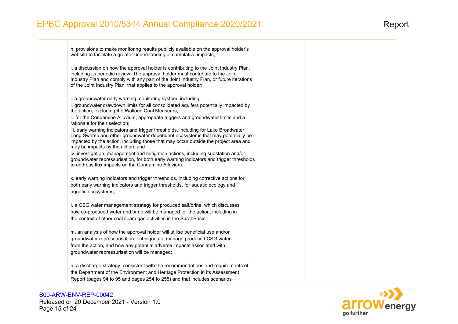h. provisions to make monitoring results publicly available on the approval holder's website to facilitate a greater understanding of cumulative impacts;

i. a discussion on how the approval holder is contributing to the Joint Industry Plan, including its periodic review. The approval holder must contribute to the Joint Industry Plan and comply with any part of the Joint Industry Plan, or future iterations of the Joint Industry Plan, that applies to the approval holder;

j. a groundwater early warning monitoring system, including:

i. groundwater drawdown limits for all consolidated aquifers potentially impacted by the action, excluding the Walloon Coal Measures;

ii. for the Condamine Alluvium, appropriate triggers and groundwater limits and a rationale for their selection;

iii. early warning indicators and trigger thresholds, including for Lake Broadwater, Long Swamp and other groundwater dependent ecosystems that may potentially be impacted by the action, including those that may occur outside the project area and may be impacts by the action; and

iv. investigation, management and mitigation actions, including substation and/or groundwater repressurisation, for both early warning indicators and trigger thresholds to address flux impacts on the Condamine Alluvium.

k. early warning indicators and trigger thresholds, including corrective actions for both early warning indicators and trigger thresholds, for aquatic ecology and aquatic ecosystems;

I. a CSG water management strategy for produced salt/brine, which discusses how co-produced water and brine will be managed for the action, including in the context of other coal seam gas activities in the Surat Basin;

m. an analysis of how the approval holder will utilise beneficial use and/or groundwater repressurisation techniques to manage produced CSG water from the action, and how any potential adverse impacts associated with groundwater repressurisation will be managed;

n. a discharge strategy, consistent with the recommendations and requirements of the Department of the Environment and Heritage Protection in its Assessment Report (pages 94 to 95 and pages 254 to 255) and that includes scenarios

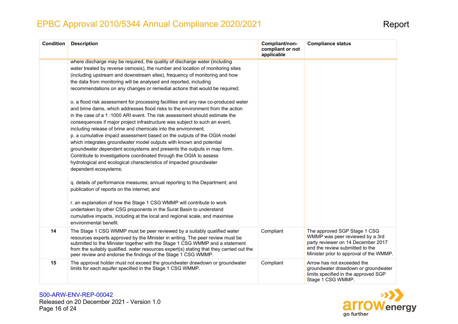| <b>Condition</b> | <b>Description</b>                                                                                                                                                                                                                                                                                                                                                                                                                                                                                                                                                                                                                                                                                                                                                                                     | Compliant/non-<br>compliant or not<br>applicable | <b>Compliance status</b>                                                                                                                                                            |
|------------------|--------------------------------------------------------------------------------------------------------------------------------------------------------------------------------------------------------------------------------------------------------------------------------------------------------------------------------------------------------------------------------------------------------------------------------------------------------------------------------------------------------------------------------------------------------------------------------------------------------------------------------------------------------------------------------------------------------------------------------------------------------------------------------------------------------|--------------------------------------------------|-------------------------------------------------------------------------------------------------------------------------------------------------------------------------------------|
|                  | where discharge may be required, the quality of discharge water (including<br>water treated by reverse osmosis), the number and location of monitoring sites<br>(including upstream and downstream sites), frequency of monitoring and how<br>the data from monitoring will be analysed and reported, including<br>recommendations on any changes or remedial actions that would be required;                                                                                                                                                                                                                                                                                                                                                                                                          |                                                  |                                                                                                                                                                                     |
|                  | o. a flood risk assessment for processing facilities and any raw co-produced water<br>and brine dams, which addresses flood risks to the environment from the action<br>in the case of a 1:1000 ARI event. The risk assessment should estimate the<br>consequences if major project infrastructure was subject to such an event,<br>including release of brine and chemicals into the environment;<br>p. a cumulative impact assessment based on the outputs of the OGIA model<br>which integrates groundwater model outputs with known and potential<br>groundwater dependent ecosystems and presents the outputs in map form.<br>Contribute to investigations coordinated through the OGIA to assess<br>hydrological and ecological characteristics of impacted groundwater<br>dependent ecosystems; |                                                  |                                                                                                                                                                                     |
|                  | q. details of performance measures; annual reporting to the Department; and<br>publication of reports on the internet; and                                                                                                                                                                                                                                                                                                                                                                                                                                                                                                                                                                                                                                                                             |                                                  |                                                                                                                                                                                     |
|                  | r. an explanation of how the Stage 1 CSG WMMP will contribute to work<br>undertaken by other CSG proponents in the Surat Basin to understand<br>cumulative impacts, including at the local and regional scale, and maximise<br>environmental benefit.                                                                                                                                                                                                                                                                                                                                                                                                                                                                                                                                                  |                                                  |                                                                                                                                                                                     |
| 14               | The Stage 1 CSG WMMP must be peer reviewed by a suitably qualified water<br>resources experts approved by the Minister in writing. The peer review must be<br>submitted to the Minister together with the Stage 1 CSG WMMP and a statement<br>from the suitably qualified. water resources expert(s) stating that they carried out the<br>peer review and endorse the findings of the Stage 1 CSG WMMP.                                                                                                                                                                                                                                                                                                                                                                                                | Compliant                                        | The approved SGP Stage 1 CSG<br>WMMP was peer reviewed by a 3rd<br>party reviewer on 14 December 2017<br>and the review submitted to the<br>Minister prior to approval of the WMMP. |
| 15               | The approval holder must not exceed the groundwater drawdown or groundwater<br>limits for each aquifer specified in the Stage 1 CSG WMMP.                                                                                                                                                                                                                                                                                                                                                                                                                                                                                                                                                                                                                                                              | Compliant                                        | Arrow has not exceeded the<br>groundwater drawdown or groundwater<br>limits specified in the approved SGP<br>Stage 1 CSG WMMP.                                                      |

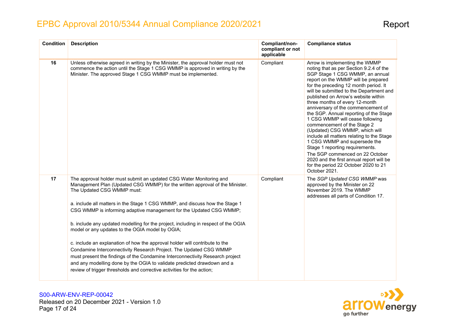| <b>Condition</b> | <b>Description</b>                                                                                                                                                                                                                                                                                                                                                                                                                                                                                                                                                                                                                                                                                                                                                                                                                                                          | Compliant/non-<br>compliant or not<br>applicable | <b>Compliance status</b>                                                                                                                                                                                                                                                                                                                                                                                                                                                                                                                                                                                                                                                                                                                                     |
|------------------|-----------------------------------------------------------------------------------------------------------------------------------------------------------------------------------------------------------------------------------------------------------------------------------------------------------------------------------------------------------------------------------------------------------------------------------------------------------------------------------------------------------------------------------------------------------------------------------------------------------------------------------------------------------------------------------------------------------------------------------------------------------------------------------------------------------------------------------------------------------------------------|--------------------------------------------------|--------------------------------------------------------------------------------------------------------------------------------------------------------------------------------------------------------------------------------------------------------------------------------------------------------------------------------------------------------------------------------------------------------------------------------------------------------------------------------------------------------------------------------------------------------------------------------------------------------------------------------------------------------------------------------------------------------------------------------------------------------------|
| 16               | Unless otherwise agreed in writing by the Minister, the approval holder must not<br>commence the action until the Stage 1 CSG WMMP is approved in writing by the<br>Minister. The approved Stage 1 CSG WMMP must be implemented.                                                                                                                                                                                                                                                                                                                                                                                                                                                                                                                                                                                                                                            | Compliant                                        | Arrow is implementing the WMMP<br>noting that as per Section 9.2.4 of the<br>SGP Stage 1 CSG WMMP, an annual<br>report on the WMMP will be prepared<br>for the preceding 12 month period. It<br>will be submitted to the Department and<br>published on Arrow's website within<br>three months of every 12-month<br>anniversary of the commencement of<br>the SGP. Annual reporting of the Stage<br>1 CSG WMMP will cease following<br>commencement of the Stage 2<br>(Updated) CSG WMMP, which will<br>include all matters relating to the Stage<br>1 CSG WMMP and supersede the<br>Stage 1 reporting requirements.<br>The SGP commenced on 22 October<br>2020 and the first annual report will be<br>for the period 22 October 2020 to 21<br>October 2021. |
| 17               | The approval holder must submit an updated CSG Water Monitoring and<br>Management Plan (Updated CSG WMMP) for the written approval of the Minister.<br>The Updated CSG WMMP must:<br>a. include all matters in the Stage 1 CSG WMMP, and discuss how the Stage 1<br>CSG WMMP is informing adaptive management for the Updated CSG WMMP;<br>b. include any updated modelling for the project, including in respect of the OGIA<br>model or any updates to the OGIA model by OGIA;<br>c. include an explanation of how the approval holder will contribute to the<br>Condamine Interconnectivity Research Project. The Updated CSG WMMP<br>must present the findings of the Condamine Interconnectivity Research project<br>and any modelling done by the OGIA to validate predicted drawdown and a<br>review of trigger thresholds and corrective activities for the action; | Compliant                                        | The SGP Updated CSG WMMP was<br>approved by the Minister on 22<br>November 2019. The WMMP<br>addresses all parts of Condition 17.                                                                                                                                                                                                                                                                                                                                                                                                                                                                                                                                                                                                                            |

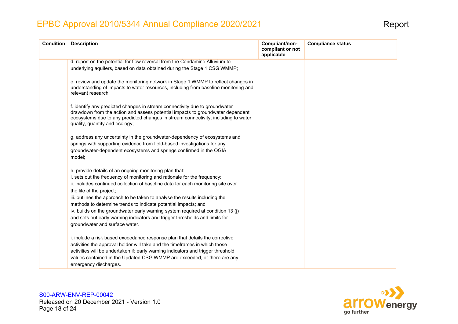| <b>Condition</b> | <b>Description</b>                                                                                                                                                                                                                                                                                                                                                                                                                                                                                                                                                                                      | Compliant/non-<br>compliant or not<br>applicable | <b>Compliance status</b> |
|------------------|---------------------------------------------------------------------------------------------------------------------------------------------------------------------------------------------------------------------------------------------------------------------------------------------------------------------------------------------------------------------------------------------------------------------------------------------------------------------------------------------------------------------------------------------------------------------------------------------------------|--------------------------------------------------|--------------------------|
|                  | d. report on the potential for flow reversal from the Condamine Alluvium to                                                                                                                                                                                                                                                                                                                                                                                                                                                                                                                             |                                                  |                          |
|                  | underlying aquifers, based on data obtained during the Stage 1 CSG WMMP;                                                                                                                                                                                                                                                                                                                                                                                                                                                                                                                                |                                                  |                          |
|                  | e. review and update the monitoring network in Stage 1 WMMP to reflect changes in<br>understanding of impacts to water resources, including from baseline monitoring and<br>relevant research:                                                                                                                                                                                                                                                                                                                                                                                                          |                                                  |                          |
|                  | f. identify any predicted changes in stream connectivity due to groundwater<br>drawdown from the action and assess potential impacts to groundwater dependent<br>ecosystems due to any predicted changes in stream connectivity, including to water<br>quality, quantity and ecology;                                                                                                                                                                                                                                                                                                                   |                                                  |                          |
|                  | g. address any uncertainty in the groundwater-dependency of ecosystems and<br>springs with supporting evidence from field-based investigations for any<br>groundwater-dependent ecosystems and springs confirmed in the OGIA<br>model;                                                                                                                                                                                                                                                                                                                                                                  |                                                  |                          |
|                  | h. provide details of an ongoing monitoring plan that:<br>i. sets out the frequency of monitoring and rationale for the frequency;<br>ii. includes continued collection of baseline data for each monitoring site over<br>the life of the project;<br>iii. outlines the approach to be taken to analyse the results including the<br>methods to determine trends to indicate potential impacts; and<br>iv. builds on the groundwater early warning system required at condition 13 (j)<br>and sets out early warning indicators and trigger thresholds and limits for<br>groundwater and surface water. |                                                  |                          |
|                  | i. include a risk based exceedance response plan that details the corrective<br>activities the approval holder will take and the timeframes in which those<br>activities will be undertaken if: early warning indicators and trigger threshold<br>values contained in the Updated CSG WMMP are exceeded, or there are any<br>emergency discharges.                                                                                                                                                                                                                                                      |                                                  |                          |

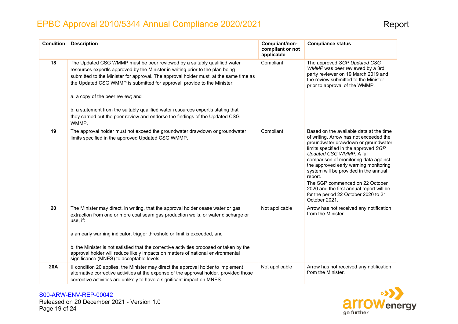| <b>Condition</b> | <b>Description</b>                                                                                                                                                                                                                                                                                                                                                                                                                                                                                                                                | Compliant/non-<br>compliant or not<br>applicable | <b>Compliance status</b>                                                                                                                                                                                                                                                                                                                                                                                                                                                   |
|------------------|---------------------------------------------------------------------------------------------------------------------------------------------------------------------------------------------------------------------------------------------------------------------------------------------------------------------------------------------------------------------------------------------------------------------------------------------------------------------------------------------------------------------------------------------------|--------------------------------------------------|----------------------------------------------------------------------------------------------------------------------------------------------------------------------------------------------------------------------------------------------------------------------------------------------------------------------------------------------------------------------------------------------------------------------------------------------------------------------------|
| 18               | The Updated CSG WMMP must be peer reviewed by a suitably qualified water<br>resources expertls approved by the Minister in writing prior to the plan being<br>submitted to the Minister for approval. The approval holder must, at the same time as<br>the Updated CSG WMMP is submitted for approval, provide to the Minister:<br>a. a copy of the peer review; and<br>b. a statement from the suitably qualified water resources expertls stating that<br>they carried out the peer review and endorse the findings of the Updated CSG<br>WMMP. | Compliant                                        | The approved SGP Updated CSG<br>WMMP was peer reviewed by a 3rd<br>party reviewer on 19 March 2019 and<br>the review submitted to the Minister<br>prior to approval of the WMMP.                                                                                                                                                                                                                                                                                           |
| 19               | The approval holder must not exceed the groundwater drawdown or groundwater<br>limits specified in the approved Updated CSG WMMP.                                                                                                                                                                                                                                                                                                                                                                                                                 | Compliant                                        | Based on the available data at the time<br>of writing, Arrow has not exceeded the<br>groundwater drawdown or groundwater<br>limits specified in the approved SGP<br>Updated CSG WMMP. A full<br>comparison of monitoring data against<br>the approved early warning monitoring<br>system will be provided in the annual<br>report.<br>The SGP commenced on 22 October<br>2020 and the first annual report will be<br>for the period 22 October 2020 to 21<br>October 2021. |
| 20               | The Minister may direct, in writing, that the approval holder cease water or gas<br>extraction from one or more coal seam gas production wells, or water discharge or<br>use, if:<br>a an early warning indicator, trigger threshold or limit is exceeded, and<br>b. the Minister is not satisfied that the corrective activities proposed or taken by the<br>approval holder will reduce likely impacts on matters of national environmental<br>significance (MNES) to acceptable levels.                                                        | Not applicable                                   | Arrow has not received any notification<br>from the Minister.                                                                                                                                                                                                                                                                                                                                                                                                              |
| 20A              | If condition 20 applies, the Minister may direct the approval holder to implement<br>alternative corrective activities at the expense of the approval holder, provided those<br>corrective activities are unlikely to have a significant impact on MNES.                                                                                                                                                                                                                                                                                          | Not applicable                                   | Arrow has not received any notification<br>from the Minister.                                                                                                                                                                                                                                                                                                                                                                                                              |

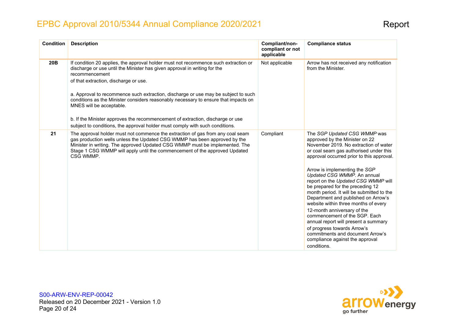| <b>Condition</b> | <b>Description</b>                                                                                                                                                                                                                                                                                                                                                                                                                                                                                                                                                                                     | Compliant/non-<br>compliant or not<br>applicable | <b>Compliance status</b>                                                                                                                                                                                                                                                                                                                                                                                                                                                                                                                                                                                                                                                                           |
|------------------|--------------------------------------------------------------------------------------------------------------------------------------------------------------------------------------------------------------------------------------------------------------------------------------------------------------------------------------------------------------------------------------------------------------------------------------------------------------------------------------------------------------------------------------------------------------------------------------------------------|--------------------------------------------------|----------------------------------------------------------------------------------------------------------------------------------------------------------------------------------------------------------------------------------------------------------------------------------------------------------------------------------------------------------------------------------------------------------------------------------------------------------------------------------------------------------------------------------------------------------------------------------------------------------------------------------------------------------------------------------------------------|
| 20B              | If condition 20 applies, the approval holder must not recommence such extraction or<br>discharge or use until the Minister has given approval in writing for the<br>recommencement<br>of that extraction, discharge or use.<br>a. Approval to recommence such extraction, discharge or use may be subject to such<br>conditions as the Minister considers reasonably necessary to ensure that impacts on<br>MNES will be acceptable.<br>b. If the Minister approves the recommencement of extraction, discharge or use<br>subject to conditions, the approval holder must comply with such conditions. | Not applicable                                   | Arrow has not received any notification<br>from the Minister.                                                                                                                                                                                                                                                                                                                                                                                                                                                                                                                                                                                                                                      |
| 21               | The approval holder must not commence the extraction of gas from any coal seam<br>gas production wells unless the Updated CSG WMMP has been approved by the<br>Minister in writing. The approved Updated CSG WMMP must be implemented. The<br>Stage 1 CSG WMMP will apply until the commencement of the approved Updated<br>CSG WMMP.                                                                                                                                                                                                                                                                  | Compliant                                        | The SGP Updated CSG WMMP was<br>approved by the Minister on 22<br>November 2019. No extraction of water<br>or coal seam gas authorised under this<br>approval occurred prior to this approval.<br>Arrow is implementing the SGP<br>Updated CSG WMMP. An annual<br>report on the Updated CSG WMMP will<br>be prepared for the preceding 12<br>month period. It will be submitted to the<br>Department and published on Arrow's<br>website within three months of every<br>12-month anniversary of the<br>commencement of the SGP. Each<br>annual report will present a summary<br>of progress towards Arrow's<br>commitments and document Arrow's<br>compliance against the approval<br>conditions. |

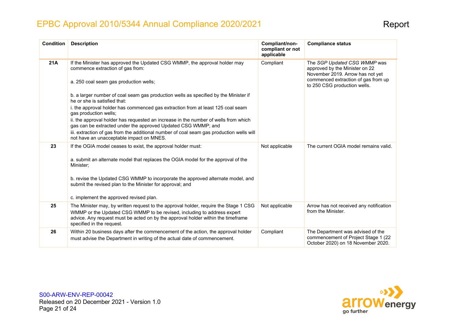| <b>Condition</b> | <b>Description</b>                                                                                                                                                                                                                                                               | Compliant/non-<br>compliant or not<br>applicable | <b>Compliance status</b>                                                                                       |
|------------------|----------------------------------------------------------------------------------------------------------------------------------------------------------------------------------------------------------------------------------------------------------------------------------|--------------------------------------------------|----------------------------------------------------------------------------------------------------------------|
| 21A              | If the Minister has approved the Updated CSG WMMP, the approval holder may<br>Compliant<br>commence extraction of gas from:                                                                                                                                                      |                                                  | The SGP Updated CSG WMMP was<br>approved by the Minister on 22<br>November 2019. Arrow has not yet             |
|                  | a. 250 coal seam gas production wells;                                                                                                                                                                                                                                           |                                                  | commenced extraction of gas from up<br>to 250 CSG production wells.                                            |
|                  | b. a larger number of coal seam gas production wells as specified by the Minister if<br>he or she is satisfied that:                                                                                                                                                             |                                                  |                                                                                                                |
|                  | i. the approval holder has commenced gas extraction from at least 125 coal seam<br>gas production wells;                                                                                                                                                                         |                                                  |                                                                                                                |
|                  | ii. the approval holder has requested an increase in the number of wells from which<br>gas can be extracted under the approved Updated CSG WMMP; and                                                                                                                             |                                                  |                                                                                                                |
|                  | iii. extraction of gas from the additional number of coal seam gas production wells will<br>not have an unacceptable impact on MNES.                                                                                                                                             |                                                  |                                                                                                                |
| 23               | If the OGIA model ceases to exist, the approval holder must:                                                                                                                                                                                                                     | Not applicable                                   | The current OGIA model remains valid.                                                                          |
|                  | a. submit an alternate model that replaces the OGIA model for the approval of the<br>Minister;                                                                                                                                                                                   |                                                  |                                                                                                                |
|                  | b. revise the Updated CSG WMMP to incorporate the approved alternate model, and<br>submit the revised plan to the Minister for approval; and                                                                                                                                     |                                                  |                                                                                                                |
|                  | c. implement the approved revised plan.                                                                                                                                                                                                                                          |                                                  |                                                                                                                |
| 25               | The Minister may, by written request to the approval holder, require the Stage 1 CSG<br>WMMP or the Updated CSG WMMP to be revised, including to address expert<br>advice. Any request must be acted on by the approval holder within the timeframe<br>specified in the request. | Not applicable                                   | Arrow has not received any notification<br>from the Minister.                                                  |
| 26               | Within 20 business days after the commencement of the action, the approval holder<br>must advise the Department in writing of the actual date of commencement.                                                                                                                   | Compliant                                        | The Department was advised of the<br>commencement of Project Stage 1 (22<br>October 2020) on 18 November 2020. |

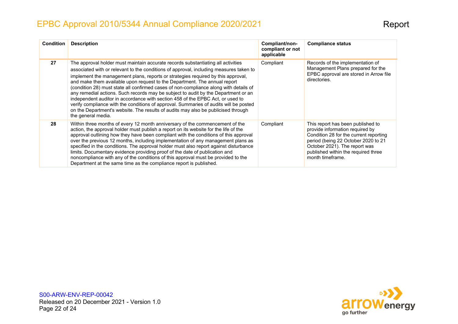| <b>Condition</b> | <b>Description</b>                                                                                                                                                                                                                                                                                                                                                                                                                                                                                                                                                                                                                                                                                                                                                                                               | Compliant/non-<br>compliant or not<br>applicable | <b>Compliance status</b>                                                                                                                                                                                                                          |
|------------------|------------------------------------------------------------------------------------------------------------------------------------------------------------------------------------------------------------------------------------------------------------------------------------------------------------------------------------------------------------------------------------------------------------------------------------------------------------------------------------------------------------------------------------------------------------------------------------------------------------------------------------------------------------------------------------------------------------------------------------------------------------------------------------------------------------------|--------------------------------------------------|---------------------------------------------------------------------------------------------------------------------------------------------------------------------------------------------------------------------------------------------------|
| 27               | The approval holder must maintain accurate records substantiating all activities<br>associated with or relevant to the conditions of approval, including measures taken to<br>implement the management plans, reports or strategies required by this approval,<br>and make them available upon request to the Department. The annual report<br>(condition 28) must state all confirmed cases of non-compliance along with details of<br>any remedial actions. Such records may be subject to audit by the Department or an<br>independent auditor in accordance with section 458 of the EPBC Act, or used to<br>verify compliance with the conditions of approval. Summaries of audits will be posted<br>on the Department's website. The results of audits may also be publicised through<br>the general media. | Compliant                                        | Records of the implementation of<br>Management Plans prepared for the<br>EPBC approval are stored in Arrow file<br>directories.                                                                                                                   |
| 28               | Within three months of every 12 month anniversary of the commencement of the<br>action, the approval holder must publish a report on its website for the life of the<br>approval outlining how they have been compliant with the conditions of this approval<br>over the previous 12 months, including implementation of any management plans as<br>specified in the conditions. The approval holder must also report against disturbance<br>limits. Documentary evidence providing proof of the date of publication and<br>noncompliance with any of the conditions of this approval must be provided to the<br>Department at the same time as the compliance report is published.                                                                                                                              | Compliant                                        | This report has been published to<br>provide information required by<br>Condition 28 for the current reporting<br>period (being 22 October 2020 to 21<br>October 2021). The report was<br>published within the required three<br>month timeframe. |

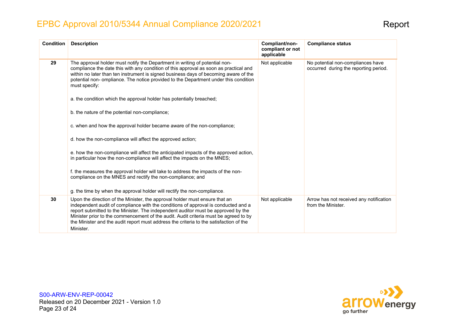| <b>Condition</b> | <b>Description</b>                                                                                                                                                                                                                                                                                                                                                                                                                                                                                                                                                                                                                                                                                                                                                                                                                                                                                                                                              | Compliant/non-<br>compliant or not<br>applicable | <b>Compliance status</b>                                                   |
|------------------|-----------------------------------------------------------------------------------------------------------------------------------------------------------------------------------------------------------------------------------------------------------------------------------------------------------------------------------------------------------------------------------------------------------------------------------------------------------------------------------------------------------------------------------------------------------------------------------------------------------------------------------------------------------------------------------------------------------------------------------------------------------------------------------------------------------------------------------------------------------------------------------------------------------------------------------------------------------------|--------------------------------------------------|----------------------------------------------------------------------------|
| 29               | The approval holder must notify the Department in writing of potential non-<br>compliance the date this with any condition of this approval as soon as practical and<br>within no later than ten instrument is signed business days of becoming aware of the<br>potential non-ompliance. The notice provided to the Department under this condition<br>must specify:<br>a. the condition which the approval holder has potentially breached;<br>b. the nature of the potential non-compliance;<br>c. when and how the approval holder became aware of the non-compliance;<br>d. how the non-compliance will affect the approved action;<br>e. how the non-compliance will affect the anticipated impacts of the approved action,<br>in particular how the non-compliance will affect the impacts on the MNES;<br>f. the measures the approval holder will take to address the impacts of the non-<br>compliance on the MNES and rectify the non-compliance; and | Not applicable                                   | No potential non-compliances have<br>occurred during the reporting period. |
|                  | g. the time by when the approval holder will rectify the non-compliance.                                                                                                                                                                                                                                                                                                                                                                                                                                                                                                                                                                                                                                                                                                                                                                                                                                                                                        |                                                  |                                                                            |
| 30               | Upon the direction of the Minister, the approval holder must ensure that an<br>independent audit of compliance with the conditions of approval is conducted and a<br>report submitted to the Minister. The independent auditor must be approved by the<br>Minister prior to the commencement of the audit. Audit criteria must be agreed to by<br>the Minister and the audit report must address the criteria to the satisfaction of the<br>Minister.                                                                                                                                                                                                                                                                                                                                                                                                                                                                                                           | Not applicable                                   | Arrow has not received any notification<br>from the Minister.              |